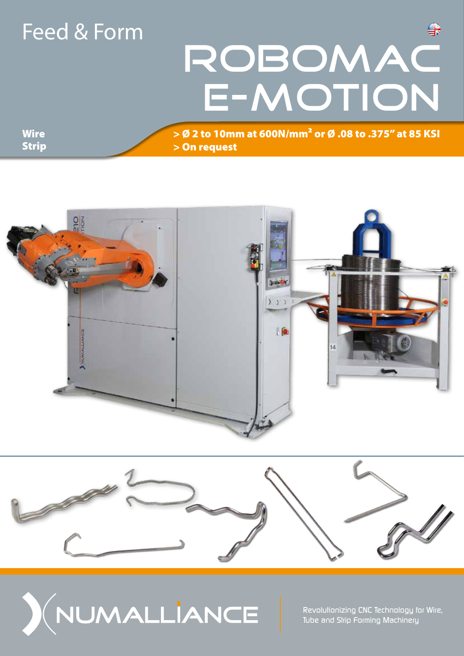### Feed & Form

# ROBOMAC E-MOTION

**Wire** Strip > Ø 2 to 10mm at 600N/mm² or Ø .08 to .375" at 85 KSI > On request







*Revolutionizing CNC Technology for Wire, Tube and Strip Forming Machinery*